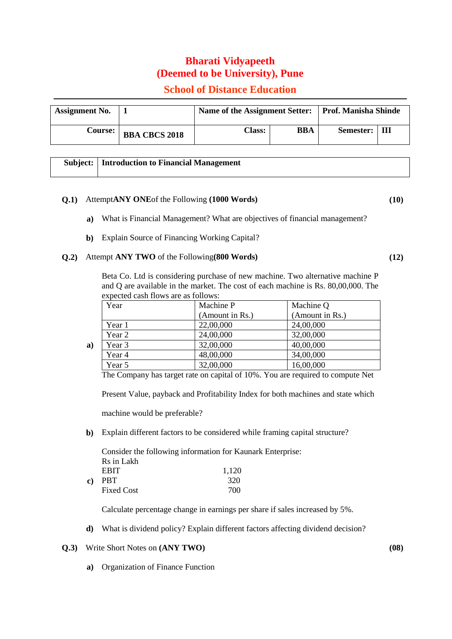# **Bharati Vidyapeeth (Deemed to be University), Pune**

# **School of Distance Education**

| <b>Assignment No.</b> |                      | Name of the Assignment Setter:   Prof. Manisha Shinde |     |           |    |
|-----------------------|----------------------|-------------------------------------------------------|-----|-----------|----|
| Course:               | <b>BBA CBCS 2018</b> | Class:                                                | BBA | Semester: | ाम |

| <b>Subject:   Introduction to Financial Management</b> |
|--------------------------------------------------------|
|                                                        |

## **Q.1)** Attempt**ANY ONE**of the Following **(1000 Words) (10)**

- **a)** What is Financial Management? What are objectives of financial management?
- **b)** Explain Source of Financing Working Capital?

### **Q.2)** Attempt **ANY TWO** of the Following**(800 Words) (12)**

Beta Co. Ltd is considering purchase of new machine. Two alternative machine P and Q are available in the market. The cost of each machine is Rs. 80,00,000. The expected cash flows are as follows:

| Year   | Machine P       | Machine Q       |  |
|--------|-----------------|-----------------|--|
|        | (Amount in Rs.) | (Amount in Rs.) |  |
| Year 1 | 22,00,000       | 24,00,000       |  |
| Year 2 | 24,00,000       | 32,00,000       |  |
| Year 3 | 32,00,000       | 40,00,000       |  |
| Year 4 | 48,00,000       | 34,00,000       |  |
| Year 5 | 32,00,000       | 16,00,000       |  |

The Company has target rate on capital of 10%. You are required to compute Net

Present Value, payback and Profitability Index for both machines and state which

machine would be preferable?

**a)**

**b)** Explain different factors to be considered while framing capital structure?

**c)** PBT 320 Consider the following information for Kaunark Enterprise: Rs in Lakh EBIT 1.120 Fixed Cost 700

Calculate percentage change in earnings per share if sales increased by 5%.

**d)** What is dividend policy? Explain different factors affecting dividend decision?

#### **Q.3)** Write Short Notes on **(ANY TWO) (08)**

**a)** Organization of Finance Function